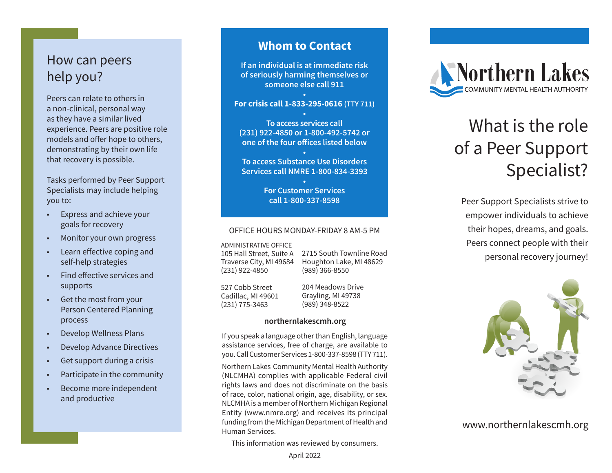## How can peers help you?

Peers can relate to others in a non-clinical, personal way as they have a similar lived experience. Peers are positive role models and offer hope to others, demonstrating by their own life that recovery is possible.

Tasks performed by Peer Support Specialists may include helping you to:

- Express and achieve your goals for recovery
- Monitor your own progress
- Learn effective coping and self-help strategies
- Find effective services and supports
- Get the most from your Person Centered Planning process
- Develop Wellness Plans
- Develop Advance Directives
- Get support during a crisis
- Participate in the community
- Become more independent and productive

### **Whom to Contact**

**If an individual is at immediate risk of seriously harming themselves or someone else call 911**

### **• For crisis call 1-833-295-0616 (TTY 711) •**

**To access services call (231) 922-4850 or 1-800-492-5742 or one of the four offices listed below**

**• To access Substance Use Disorders Services call NMRE 1-800-834-3393**

> **• For Customer Services call 1-800-337-8598**

### OFFICE HOURS MONDAY-FRIDAY 8 AM-5 PM

ADMINISTRATIVE OFFICE 105 Hall Street, Suite A

Traverse City, MI 49684 (231) 922-4850

2715 South Townline Road Houghton Lake, MI 48629 (989) 366-8550

527 Cobb Street Cadillac, MI 49601 (231) 775-3463

204 Meadows Drive Grayling, MI 49738 (989) 348-8522

#### **northernlakescmh.org**

If you speak a language other than English, language assistance services, free of charge, are available to you. Call Customer Services 1-800-337-8598 (TTY 711).

Northern Lakes Community Mental Health Authority (NLCMHA) complies with applicable Federal civil rights laws and does not discriminate on the basis of race, color, national origin, age, disability, or sex. NLCMHA is a member of Northern Michigan Regional Entity (www.nmre.org) and receives its principal funding from the Michigan Department of Health and Human Services.

This information was reviewed by consumers.



# What is the role of a Peer Support Specialist?

Peer Support Specialists strive to empower individuals to achieve their hopes, dreams, and goals. Peers connect people with their personal recovery journey!



www.northernlakescmh.org